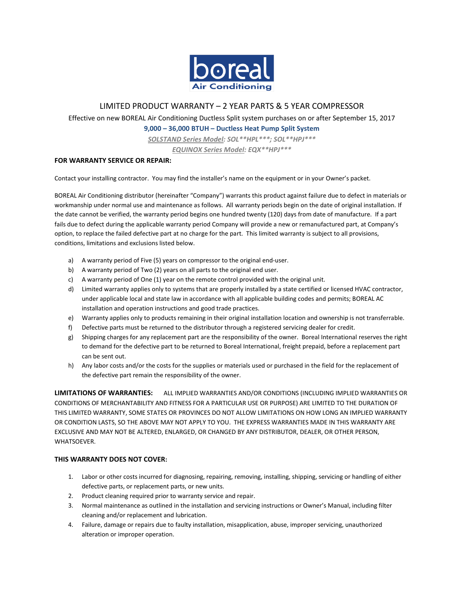

## LIMITED PRODUCT WARRANTY – 2 YEAR PARTS & 5 YEAR COMPRESSOR

Effective on new BOREAL Air Conditioning Ductless Split system purchases on or after September 15, 2017

**9,000 – 36,000 BTUH – Ductless Heat Pump Split System**

*SOLSTAND Series Model: SOL\*\*HPL\*\*\*; SOL\*\*HPJ\*\*\**

*EQUINOX Series Model: EQX\*\*HPJ\*\*\**

## **FOR WARRANTY SERVICE OR REPAIR:**

Contact your installing contractor. You may find the installer's name on the equipment or in your Owner's packet.

BOREAL Air Conditioning distributor (hereinafter "Company") warrants this product against failure due to defect in materials or workmanship under normal use and maintenance as follows. All warranty periods begin on the date of original installation. If the date cannot be verified, the warranty period begins one hundred twenty (120) days from date of manufacture. If a part fails due to defect during the applicable warranty period Company will provide a new or remanufactured part, at Company's option, to replace the failed defective part at no charge for the part. This limited warranty is subject to all provisions, conditions, limitations and exclusions listed below.

- a) A warranty period of Five (5) years on compressor to the original end-user.
- b) A warranty period of Two (2) years on all parts to the original end user.
- c) A warranty period of One (1) year on the remote control provided with the original unit.
- d) Limited warranty applies only to systems that are properly installed by a state certified or licensed HVAC contractor, under applicable local and state law in accordance with all applicable building codes and permits; BOREAL AC installation and operation instructions and good trade practices.
- e) Warranty applies only to products remaining in their original installation location and ownership is not transferrable.
- f) Defective parts must be returned to the distributor through a registered servicing dealer for credit.
- g) Shipping charges for any replacement part are the responsibility of the owner. Boreal International reserves the right to demand for the defective part to be returned to Boreal International, freight prepaid, before a replacement part can be sent out.
- h) Any labor costs and/or the costs for the supplies or materials used or purchased in the field for the replacement of the defective part remain the responsibility of the owner.

**LIMITATIONS OF WARRANTIES:** ALL IMPLIED WARRANTIES AND/OR CONDITIONS (INCLUDING IMPLIED WARRANTIES OR CONDITIONS OF MERCHANTABILITY AND FITNESS FOR A PARTICULAR USE OR PURPOSE) ARE LIMITED TO THE DURATION OF THIS LIMITED WARRANTY, SOME STATES OR PROVINCES DO NOT ALLOW LIMITATIONS ON HOW LONG AN IMPLIED WARRANTY OR CONDITION LASTS, SO THE ABOVE MAY NOT APPLY TO YOU. THE EXPRESS WARRANTIES MADE IN THIS WARRANTY ARE EXCLUSIVE AND MAY NOT BE ALTERED, ENLARGED, OR CHANGED BY ANY DISTRIBUTOR, DEALER, OR OTHER PERSON, WHATSOEVER.

## **THIS WARRANTY DOES NOT COVER:**

- 1. Labor or other costs incurred for diagnosing, repairing, removing, installing, shipping, servicing or handling of either defective parts, or replacement parts, or new units.
- 2. Product cleaning required prior to warranty service and repair.
- 3. Normal maintenance as outlined in the installation and servicing instructions or Owner's Manual, including filter cleaning and/or replacement and lubrication.
- 4. Failure, damage or repairs due to faulty installation, misapplication, abuse, improper servicing, unauthorized alteration or improper operation.